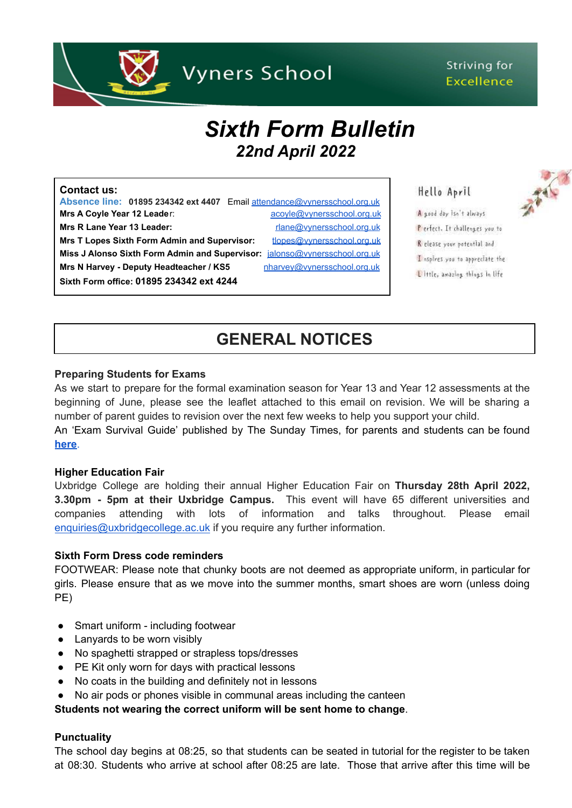

### Striving for **Excellence**

# *Sixth Form Bulletin 22nd April 2022*

#### **Contact us:**

**Absence line: 01895 234342 ext 4407** Email [attendance@vynersschool.org.uk](mailto:attendance@vynersschool.org.uk) **Mrs A Coyle Year 12 Leader:** [acoyle@vynersschool.org.uk](mailto:acoyle@vynersschool.org.uk) **Mrs R Lane Year 13 Leader:** research and the research of the research of the research of the research of the research of the research of the research of the research of the research of the research of the research of the Mrs T Lopes Sixth Form Admin and Supervisor: [tlopes@vynersschool.org.uk](mailto:tlopes@vynersschool.org.uk) **Miss J Alonso Sixth Form Admin and Supervisor:** [jalonso@vynersschool.org.uk](mailto:jalonso@vynersschool.org.uk) Mrs N Harvey - Deputy Headteacher / KS5 [nharvey@vynersschool.org.uk](mailto:nharvey@vynersschool.org.uk) **Sixth Form office: 01895 234342 ext 4244**

### Hello April A good day Isn't always

Perfect. It challenges you to R elease your potential and I aspires you to appreciate the Little, amazing things in life

## **GENERAL NOTICES**

### **Preparing Students for Exams**

As we start to prepare for the formal examination season for Year 13 and Year 12 assessments at the beginning of June, please see the leaflet attached to this email on revision. We will be sharing a number of parent guides to revision over the next few weeks to help you support your child. An 'Exam Survival Guide' published by The Sunday Times, for parents and students can be found

**[here](https://www.thetimes.co.uk/static/exams-revision-study-parenting-school-hp/?fbclid=IwAR2GTf-aaZGtdTeelp5Ev_oEDSXSCMybNXiCEsr_HZ70bxnkf6hVH9g2QAo_aem_AZj6TTdPG0hB8UDFa_oJfeh1jG3-DawbLnQAIRWK9_gRMi449rvPxYZf0yTxZzI0kqsHjy_M3jWelsWxtboaJ4ZWDL3uzXOKOKBuv4psvOoCFNmY5Hvpi-cVzYfRt41PKfg)**.

### **Higher Education Fair**

Uxbridge College are holding their annual Higher Education Fair on **Thursday 28th April 2022, 3.30pm - 5pm at their Uxbridge Campus.** This event will have 65 different universities and companies attending with lots of information and talks throughout. Please email [enquiries@uxbridgecollege.ac.uk](mailto:enquiries@uxbridgecollege.ac.uk) if you require any further information.

### **Sixth Form Dress code reminders**

FOOTWEAR: Please note that chunky boots are not deemed as appropriate uniform, in particular for girls. Please ensure that as we move into the summer months, smart shoes are worn (unless doing PE)

- Smart uniform including footwear
- Lanyards to be worn visibly
- No spaghetti strapped or strapless tops/dresses
- PE Kit only worn for days with practical lessons
- No coats in the building and definitely not in lessons
- No air pods or phones visible in communal areas including the canteen

### **Students not wearing the correct uniform will be sent home to change**.

### **Punctuality**

The school day begins at 08:25, so that students can be seated in tutorial for the register to be taken at 08:30. Students who arrive at school after 08:25 are late. Those that arrive after this time will be

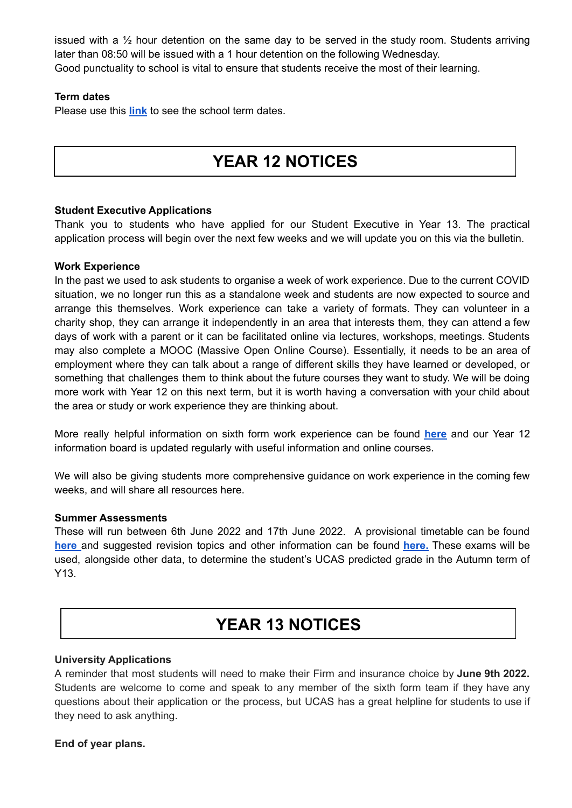issued with a  $\frac{1}{2}$  hour detention on the same day to be served in the study room. Students arriving later than 08:50 will be issued with a 1 hour detention on the following Wednesday. Good punctuality to school is vital to ensure that students receive the most of their learning.

### **Term dates**

Please use this **[link](https://www.vynersschool.org.uk/page/?title=Term+Dates&pid=79)** to see the school term dates.

## **YEAR 12 NOTICES**

### **Student Executive Applications**

Thank you to students who have applied for our Student Executive in Year 13. The practical application process will begin over the next few weeks and we will update you on this via the bulletin.

### **Work Experience**

In the past we used to ask students to organise a week of work experience. Due to the current COVID situation, we no longer run this as a standalone week and students are now expected to source and arrange this themselves. Work experience can take a variety of formats. They can volunteer in a charity shop, they can arrange it independently in an area that interests them, they can attend a few days of work with a parent or it can be facilitated online via lectures, workshops, meetings. Students may also complete a MOOC (Massive Open Online Course). Essentially, it needs to be an area of employment where they can talk about a range of different skills they have learned or developed, or something that challenges them to think about the future courses they want to study. We will be doing more work with Year 12 on this next term, but it is worth having a conversation with your child about the area or study or work experience they are thinking about.

More really helpful information on sixth form work experience can be found **[here](https://www.ucas.com/undergraduate/applying-university/writing-your-personal-statement/work-experience-and-volunteering)** and our Year 12 information board is updated regularly with useful information and online courses.

We will also be giving students more comprehensive guidance on work experience in the coming few weeks, and will share all resources here.

### **Summer Assessments**

These will run between 6th June 2022 and 17th June 2022. A provisional timetable can be found **[here](https://www.vynersschool.org.uk/_site/data/files/users/91/files/13DF3C780A49C900E81F1C5AA1BE152E.pdf)** and suggested revision topics and other information can be found **[here.](https://www.vynersschool.org.uk/_site/data/files/users/91/files/BCD7E0033CE755985A2900C122497580.pdf)** These exams will be used, alongside other data, to determine the student's UCAS predicted grade in the Autumn term of Y13.

### **YEAR 13 NOTICES**

### **University Applications**

A reminder that most students will need to make their Firm and insurance choice by **June 9th 2022.** Students are welcome to come and speak to any member of the sixth form team if they have any questions about their application or the process, but UCAS has a great helpline for students to use if they need to ask anything.

### **End of year plans.**